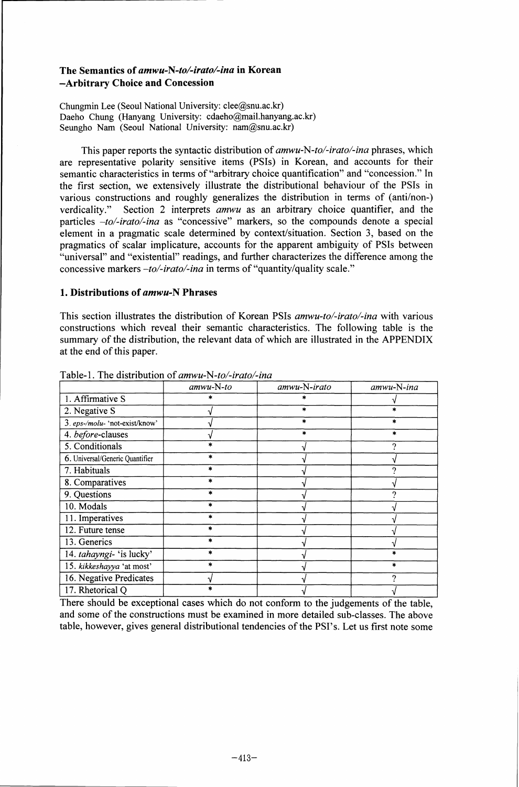# The Semantics of *amwu-N-to/-irato/-ina in* Korean –Arbitrary Choice and Concession

Chungmin Lee (Seoul National University: clee@snu.ac.kr) Daeho Chung (Hanyang University: cdaeho@mail.hanyang.ac.kr) Seungho Nam (Seoul National University: nam@snu.ac.kr)

This paper reports the syntactic distribution of *amwu-N-to/-irato/-ina* phrases, which are representative polarity sensitive items (PSIs) in Korean, and accounts for their semantic characteristics in terms of "arbitrary choice quantification" and "concession." In the first section, we extensively illustrate the distributional behaviour of the PSIs in various constructions and roughly generalizes the distribution in terms of (anti/non-) verdicality." Section 2 interprets *amwu* as an arbitrary choice quantifier, and the particles *–to/-irato/-ina* as "concessive" markers, so the compounds denote a special element in a pragmatic scale determined by context/situation. Section 3, based on the pragmatics of scalar implicature, accounts for the apparent ambiguity of PSIs between "universal" and "existential" readings, and further characterizes the difference among the concessive markers *–to/-irato/-ina* in terms of "quantity/quality scale."

#### 1. Distributions of *amwu-N* Phrases

This section illustrates the distribution of Korean PSIs *amwu-to/-irato/-ina* with various constructions which reveal their semantic characteristics. The following table is the summary of the distribution, the relevant data of which are illustrated in the APPENDIX at the end of this paper.

|                                 | $amwu-N-to$ | amwu-N-irato | amwu-N-ina |
|---------------------------------|-------------|--------------|------------|
| 1. Affirmative S                |             |              |            |
| 2. Negative S                   |             | $\ast$       |            |
| 3. eps-/molu- 'not-exist/know'  |             | $\ast$       |            |
| 4. before-clauses               |             | *            |            |
| 5. Conditionals                 |             |              |            |
| 6. Universal/Generic Quantifier |             |              |            |
| 7. Habituals                    |             |              |            |
| 8. Comparatives                 | ×.          |              |            |
| 9. Questions                    |             |              |            |
| 10. Modals                      |             |              |            |
| 11. Imperatives                 |             |              |            |
| 12. Future tense                |             |              |            |
| 13. Generics                    |             |              |            |
| 14. tahayngi- 'is lucky'        |             |              |            |
| 15. kikkeshayya 'at most'       | *           |              | *          |
| 16. Negative Predicates         |             |              |            |
| 17. Rhetorical Q                |             |              |            |

Table-1. The distribution of *amwu-N-to/-irato/-ina*

There should be exceptional cases which do not conform to the judgements of the table, and some of the constructions must be examined in more detailed sub-classes. The above table, however, gives general distributional tendencies of the PSI's. Let us first note some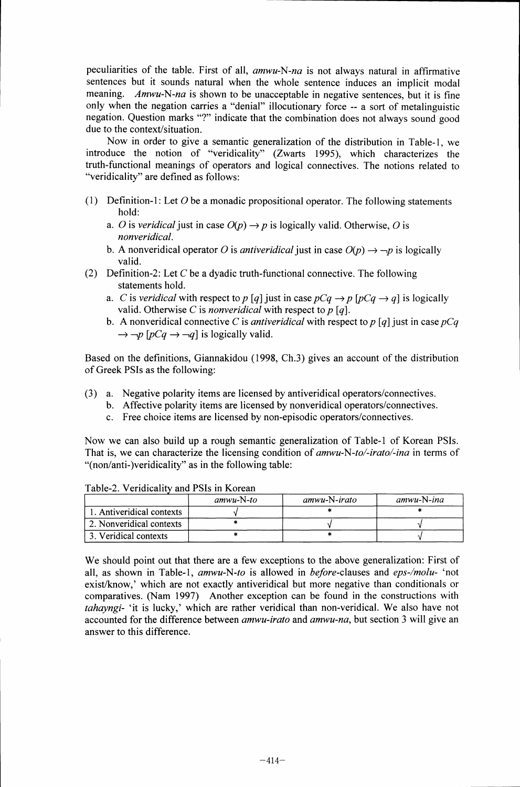peculiarities of the table. First of all, *amwu-N-na* is not always natural in affirmative sentences but it sounds natural when the whole sentence induces an implicit modal meaning. *Amwu-N-na* is shown to be unacceptable in negative sentences, but it is fine only when the negation carries a "denial" illocutionary force -- a sort of metalinguistic negation. Question marks "?" indicate that the combination does not always sound good due to the context/situation.

Now in order to give a semantic generalization of the distribution in Table-1, we introduce the notion of "veridicality" (Zwarts 1995), which characterizes the truth-functional meanings of operators and logical connectives. The notions related to "veridicality" are defined as follows:

- (1) Definition-1: Let *0* be a monadic propositional operator. The following statements hold:
	- *a. O* is *veridical* just in case  $O(p) \rightarrow p$  is logically valid. Otherwise, *O* is *nonveridical.*
	- b. A nonveridical operator *O* is *antiveridical* just in case  $O(p) \rightarrow \neg p$  is logically valid.
- (2) Definition-2: Let *C* be a dyadic truth-functional connective. The following statements hold.
	- *a. C* is *veridical* with respect to *p* [q] just in case  $pCq \rightarrow p$  [ $pCq \rightarrow q$ ] is logically valid. Otherwise *C* is *nonveridical* with respect to *p [q].*
	- b. A nonveridical connective *C* is *antiveridical* with respect to *p [q]* just in case *pCq*  $\rightarrow -p$  [pCq  $\rightarrow -q$ ] is logically valid.

Based on the definitions, Giannakidou (1998, Ch.3) gives an account of the distribution of Greek PSIs as the following:

- (3) a. Negative polarity items are licensed by antiveridical operators/connectives.
	- b. Affective polarity items are licensed by nonveridical operators/connectives.
		- c. Free choice items are licensed by non-episodic operators/connectives.

Now we can also build up a rough semantic generalization of Table-1 of Korean PSIs. That is, we can characterize the licensing condition of *amwu-N-to/-irato/-ina* in terms of "(non/anti-)veridicality" as in the following table:

|                           | $amwu-N-to$ | $amwu-N-irato$ | $amwu-N-ina$ |
|---------------------------|-------------|----------------|--------------|
| 1. Antiveridical contexts |             |                |              |
| 2. Nonveridical contexts  |             |                |              |
| 3. Veridical contexts     |             |                |              |

Table-2. Veridicality and PSIs in Korean

We should point out that there are a few exceptions to the above generalization: First of all, as shown in Table-1, *amwu-N-to* is allowed in before-clauses and *eps-/molu-* 'not exist/know,' which are not exactly antiveridical but more negative than conditionals or comparatives. (Nam 1997) Another exception can be found in the constructions with *tahayngi-* 'it is lucky,' which are rather veridical than non-veridical. We also have not accounted for the difference between *amwu-irato* and *amwu-na,* but section 3 will give an answer to this difference.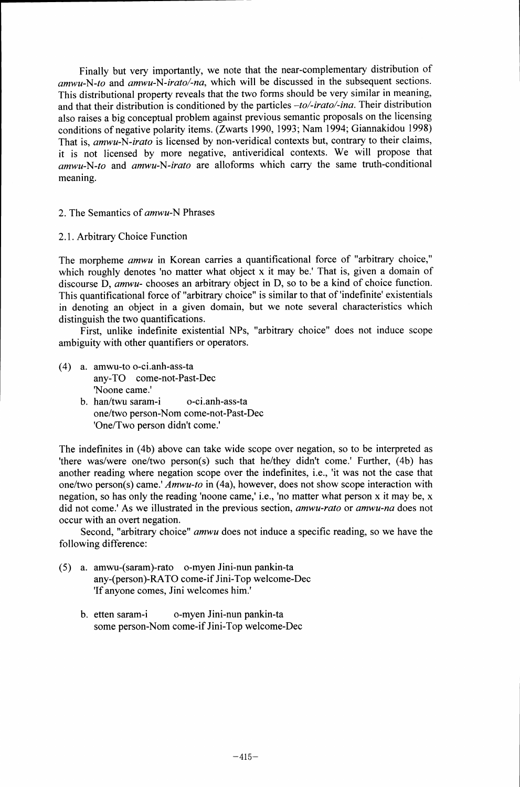Finally but very importantly, we note that the near-complementary distribution of *amwu-N-to* and *amwu-N-irato/-na,* which will be discussed in the subsequent sections. This distributional property reveals that the two forms should be very similar in meaning, and that their distribution is conditioned by the particles *–to/-irato/-ina.* Their distribution also raises a big conceptual problem against previous semantic proposals on the licensing conditions of negative polarity items. (Zwarts 1990, 1993; Nam 1994; Giannakidou 1998) That is, *amwu-N-irato* is licensed by non-veridical contexts but, contrary to their claims, it is not licensed by more negative, antiveridical contexts. We will propose that *amwu-N-to* and *amwu-N-irato* are alloforms which carry the same truth-conditional meaning.

## 2. The Semantics of *amwu-N* Phrases

2.1. Arbitrary Choice Function

The morpheme *amwu* in Korean carries a quantificational force of "arbitrary choice," which roughly denotes 'no matter what object x it may be.' That is, given a domain of discourse D, *amwu-* chooses an arbitrary object in D, so to be a kind of choice function. This quantificational force of "arbitrary choice" is similar to that of 'indefinite' existentials in denoting an object in a given domain, but we note several characteristics which distinguish the two quantifications.

First, unlike indefinite existential NPs, "arbitrary choice" does not induce scope ambiguity with other quantifiers or operators.

- (4) a. amwu-to o-ci.anh-ass-ta any-TO come-not-Past-Dec 'Noone came.'
	- b. han/twu saram-i o-ci.anh-ass-ta one/two person-Nom come-not-Past-Dec 'One/Two person didn't come.'

The indefinites in (4b) above can take wide scope over negation, so to be interpreted as 'there was/were one/two person(s) such that he/they didn't come.' Further, (4b) has another reading where negation scope over the indefinites, i.e., 'it was not the case that one/two person(s) came.' *Amwu-to* in (4a), however, does not show scope interaction with negation, so has only the reading 'noone came,' i.e., 'no matter what person x it may be, x did not come.' As we illustrated in the previous section, *amwu-rato* or *amwu-na* does not occur with an overt negation.

Second, "arbitrary choice" *amwu* does not induce a specific reading, so we have the following difference:

- (5) a. amwu-(saram)-rato o-myen Jini-nun pankin-ta any-(person)-RATO come-if Jini-Top welcome-Dec 'If anyone comes, Jini welcomes him.'
	- b. etten saram-i o-myen Jini-nun pankin-ta some person-Nom come-if Jini-Top welcome-Dec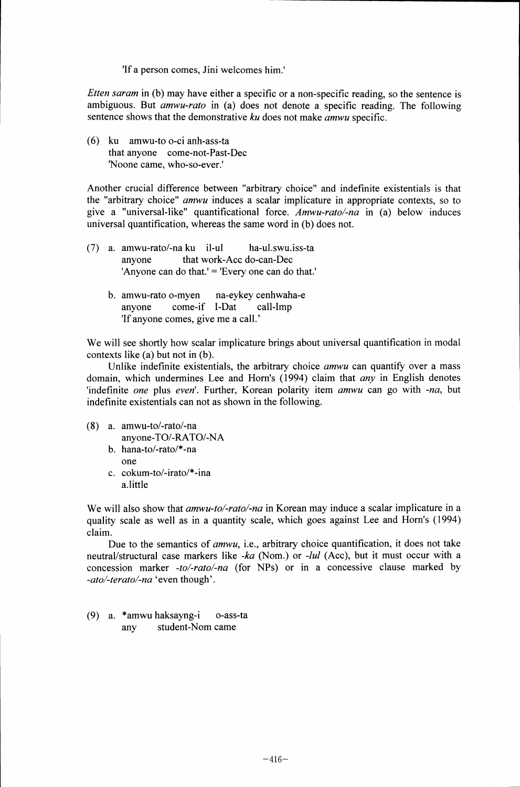'If a person comes, Jini welcomes him.'

*Etten saram* in (b) may have either a specific or a non-specific reading, so the sentence is ambiguous. But *amwu-rato* in (a) does not denote a specific reading. The following sentence shows that the demonstrative *ku* does not make *amwu* specific.

(6) ku amwu-to o-ci anh-ass-ta that anyone come-not-Past-Dec 'Noone came, who-so-ever.'

Another crucial difference between "arbitrary choice" and indefinite existentials is that the "arbitrary choice" *amwu* induces a scalar implicature in appropriate contexts, so to give a "universal-like" quantificational force. *Amwu-rato/-na* in (a) below induces universal quantification, whereas the same word in (b) does not.

- (7) a. amwu-rato/-na ku il-ul ha-ul.swu.iss-ta anyone that work-Acc do-can-Dec 'Anyone can do that.' = 'Every one can do that.'
	- b. amwu-rato o-myen na-eykey cenhwaha-e anyone come-if I-Dat call-Imp 'If anyone comes, give me a call.'

We will see shortly how scalar implicature brings about universal quantification in modal contexts like (a) but not in (b).

Unlike indefinite existentials, the arbitrary choice *amwu* can quantify over a mass domain, which undermines Lee and Horn's (1994) claim that *any* in English denotes 'indefinite *one* plus *even'.* Further, Korean polarity item *amwu* can go with *-na,* but indefinite existentials can not as shown in the following.

- (8) a. amwu-to/-rato/-na
	- anyone-TO/-RATO/-NA
	- b. Nana-to/-rato/\*-na one
	- c. cokum-to/-irato/\*-ina a.little

We will also show that *amwu-to/-rato/-na* in Korean may induce a scalar implicature in a quality scale as well as in a quantity scale, which goes against Lee and Horn's (1994) claim.

Due to the semantics of *amwu, i.e.,* arbitrary choice quantification, it does not take neutral/structural case markers like *-ka* (Nom.) or *-lul* (Acc), but it must occur with a concession marker *-to/-raw/-na* (for NPs) or in a concessive clause marked by *-ato/-terato/-na 'even* though'.

(9) a. \*amwu haksayng-i o-ass-ta any student-Nom came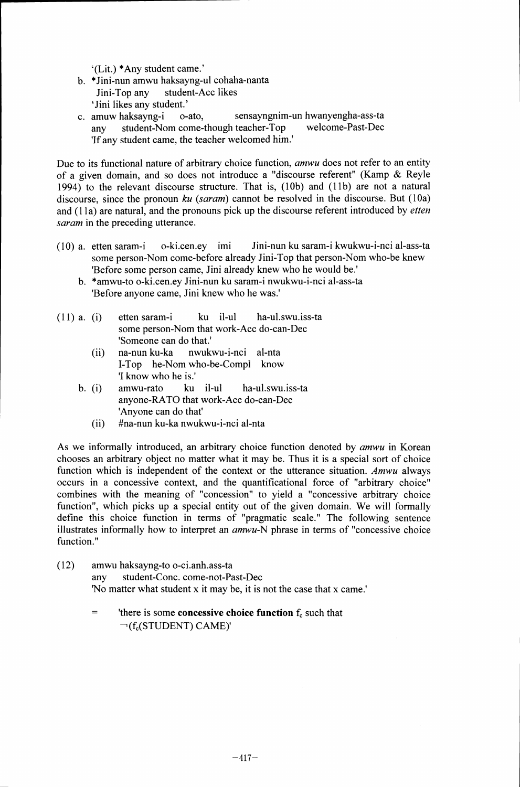`(Lit.) \*Any student came.'

- b. \*Jini-nun amwu haksayng-ul cohaha-nanta Jini-Top any student-Acc likes `Jini likes any student.'
- c. amuw haksayng-i o-ato, sensayngnim-un hwanyengha-ass-ta any student-Nom come-though teacher-Top 'If any student came, the teacher welcomed him.'

Due to its functional nature of arbitrary choice function, *amwu* does not refer to an entity of a given domain, and so does not introduce a "discourse referent" (Kamp & Reyle 1994) to the relevant discourse structure. That is, (10b) and (11b) are not a natural discourse, since the pronoun *ku (saram)* cannot be resolved in the discourse. But (10a) and (11 a) are natural, and the pronouns pick up the discourse referent introduced by *etten saram* in the preceding utterance.

- (10) a. etten saram-i o-ki.cen.ey imi Jini-nun ku saram-i kwukwu-i-nci al-ass-ta some person-Nom come-before already Jini-Top that person-Nom who-be knew 'Before some person came, Jini already knew who he would be.'
	- b. \*amwu-to o-ki.cen.ey Jini-nun ku saram-i nwukwu-i-nci al-ass-ta 'Before anyone came, Jini knew who he was.'
- (11) a. (i) etten saram-i ku it-ul ha-ul.swu.iss-ta some person-Nom that work-Acc do-can-Dec 'Someone can do that.'
	- (ii) na-nun ku-ka nwukwu-i-nci al-nta I-Top he-Nom who-be-Compl know 'I know who he is.'
	- b. (i) amwu-rato ku il-ul ha-ul.swu.iss-ta anyone-RATO that work-Acc do-can-Dec 'Anyone can do that'
		- (ii) #na-nun ku-ka nwukwu-i-nci al-nta

As we informally introduced, an arbitrary choice function denoted by *amwu* in Korean chooses an arbitrary object no matter what it may be. Thus it is a special sort of choice function which is independent of the context or the utterance situation. *Amwu* always occurs in a concessive context, and the quantificational force of "arbitrary choice" combines with the meaning of "concession" to yield a "concessive arbitrary choice function", which picks up a special entity out of the given domain. We will formally define this choice function in terms of "pragmatic scale." The following sentence illustrates informally how to interpret an *amwu-N* phrase in terms of "concessive choice function."

- (12) amwu haksayng-to o-ci.anh.ass-ta any student-Conc. come-not-Past-Dec 'No matter what student x it may be, it is not the case that x came.'
	- $=$ 'there is some concessive choice function  $f_c$  such that  $\neg$ (f<sub>c</sub>(STUDENT) CAME)'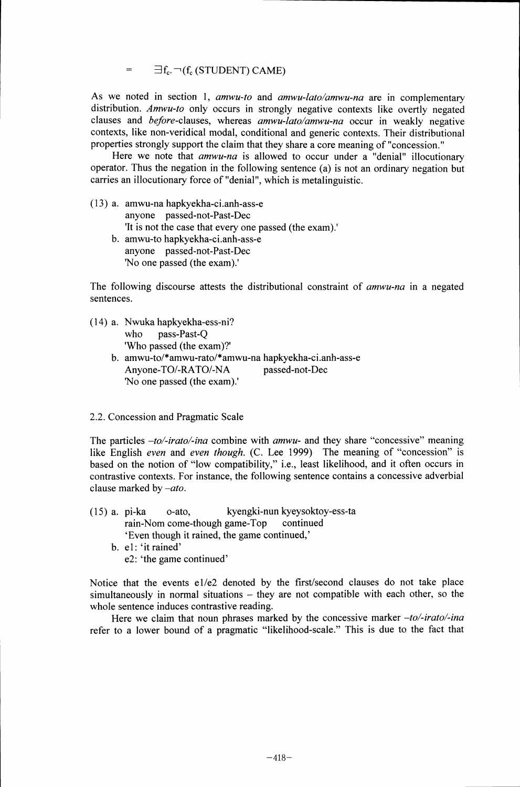$\exists f_c$   $\neg$  (f<sub>c</sub> (STUDENT) CAME)  $=$ 

As we noted in section 1, *amwu-to* and *amwu-lato/amwu-na* are in complementary distribution. *Amwu-to* only occurs in strongly negative contexts like overtly negated clauses and before-clauses, whereas *amwu-lato/amwu-na* occur in weakly negative contexts, like non-veridical modal, conditional and generic contexts. Their distributional properties strongly support the claim that they share a core meaning of "concession."

Here we note that *amwu-na* is allowed to occur under a "denial" illocutionary operator. Thus the negation in the following sentence (a) is not an ordinary negation but carries an illocutionary force of "denial", which is metalinguistic.

- (13) a. amwu-na hapkyekha-ci.anh-ass-e anyone passed-not-Past-Dec 'It is not the case that every one passed (the exam).° b. amwu-to hapkyekha-ci.anh-ass-e anyone passed-not-Past-Dec
	- 'No one passed (the exam).'

The following discourse attests the distributional constraint of *amwu-na* in a negated sentences.

(14) a. Nwuka hapkyekha-ess-ni? who pass-Past-Q 'Who passed (the exam)?' b. amwu-to/\*amwu-rato/\*amwu-na hapkyekha-ci.anh-ass-e Anyone-TO/-RATO/-NA passed-not-Dec

## 2.2. Concession and Pragmatic Scale

'No one passed (the exam).'

The particles *—to/-irato/-ina* combine with *amwu-* and they share "concessive" meaning like English *even* and *even though.* (C. Lee 1999) The meaning of "concession" is based on the notion of "low compatibility," i.e., least likelihood, and it often occurs in contrastive contexts. For instance, the following sentence contains a concessive adverbial clause marked by *—ato.*

- (15) a. pi-ka o-ato, kyengki-nun kyeysoktoy-ess-ta rain-Nom come-though game-Top `Even though it rained, the game continued,'
	- b. el: 'it rained' e2: 'the game continued'

Notice that the events e1/e2 denoted by the first/second clauses do not take place simultaneously in normal situations — they are not compatible with each other, so the whole sentence induces contrastive reading.

Here we claim that noun phrases marked by the concessive marker *—to/-irato/-ina* refer to a lower bound of a pragmatic "likelihood-scale." This is due to the fact that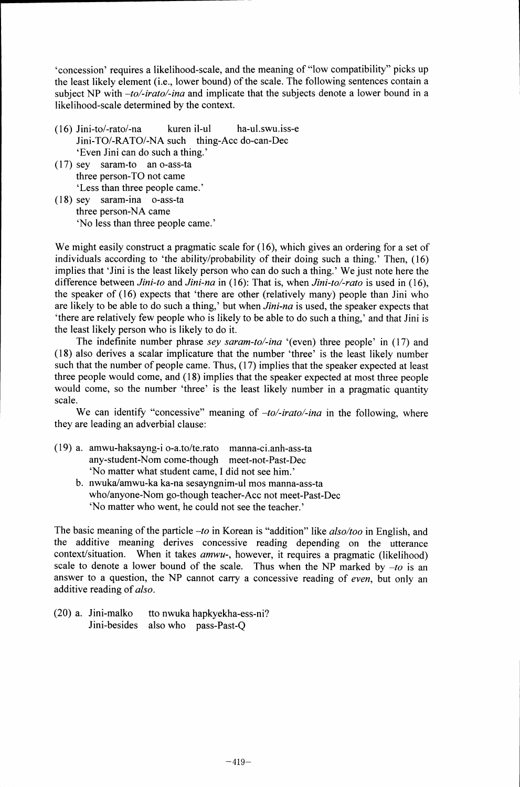`concession' requires a likelihood-scale, and the meaning of "low compatibility" picks up the least likely element (i.e., lower bound) of the scale. The following sentences contain a subject NP with *–to/-irato/-ina* and implicate that the subjects denote a lower bound in a likelihood-scale determined by the context.

- $(16)$  Jini-to/-rato/-na kuren il-ul ha-ul.swu.iss-e Jini-TO/-RATO/-NA such thing-Acc do-can-Dec `Even Jini can do such a thing.'
- (17) sey saram-to an o-ass-ta three person-TO not came `Less than three people came.'
- (18) sey saram-ina o-ass-ta three person-NA came `No less than three people came.'

We might easily construct a pragmatic scale for (16), which gives an ordering for a set of individuals according to 'the ability/probability of their doing such a thing.' Then, (16) implies that 'Jini is the least likely person who can do such a thing.' We just note here the difference between *Jini-to* and *Jini-na* in (16): That is, when *Jini-to/-rato* is used in (16), the speaker of (16) expects that 'there are other (relatively many) people than Jini who are likely to be able to do such a thing,' but when *Jini-na* is used, the speaker expects that `there are relatively few people who is likely to be able to do such a thing,' and that Jini is the least likely person who is likely to do it.

The indefinite number phrase *sey saram-to/-ina* '(even) three people' in (17) and (18) also derives a scalar implicature that the number 'three' is the least likely number such that the number of people came. Thus, (17) implies that the speaker expected at least three people would come, and (18) implies that the speaker expected at most three people would come, so the number 'three' is the least likely number in a pragmatic quantity scale.

We can identify "concessive" meaning of *–to/-irato/-ina* in the following, where they are leading an adverbial clause:

- (19) a. amwu-haksayng-i o-a.to/te.rato manna-ci.anh-ass-ta any-student-Nom come-though meet-not-Past-Dec `No matter what student came, I did not see him.'
	- b. nwukalamwu-ka ka-na sesayngnim-ul mos manna-ass-ta who/anyone-Nom go-though teacher-Acc not meet-Past-Dec `No matter who went, he could not see the teacher.'

The basic meaning of the particle *–to* in Korean is "addition" like *also/too* in English, and the additive meaning derives concessive reading depending on the utterance context/situation. When it takes *amwu-,* however, it requires a pragmatic (likelihood) scale to denote a lower bound of the scale. Thus when the NP marked by  $-t_0$  is an answer to a question, the NP cannot carry a concessive reading of *even,* but only an additive reading of *also.*

(20) a. Jini-malko tto nwuka hapkyekha-ess-ni? Jini-besides also who pass-Past-Q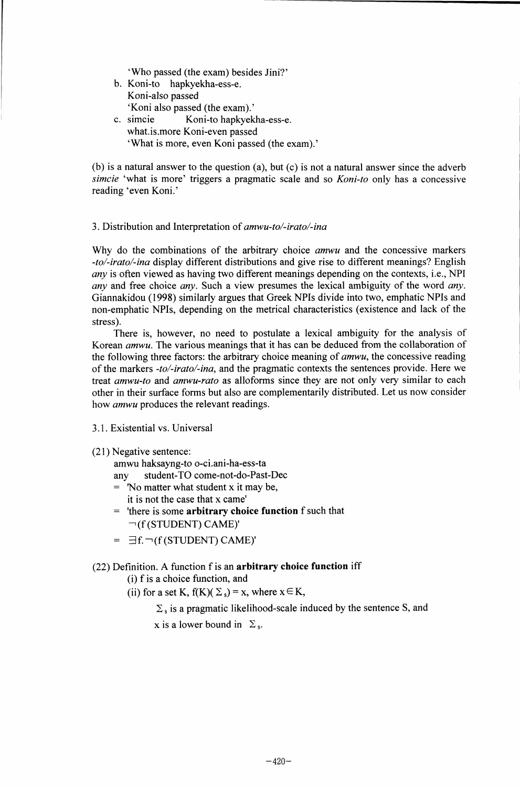`Who passed (the exam) besides Jini?'

- b. Koni-to hapkyekha-ess-e. Koni-also passed `Koni also passed (the exam).'
- c. simcie Koni-to hapkyekha-ess-e. what.is.more Koni-even passed `What is more, even Koni passed (the exam).'

(b) is a natural answer to the question (a), but (c) is not a natural answer since the adverb *simcie* 'what is more' triggers a pragmatic scale and so *Koni-to* only has a concessive reading 'even Koni.'

#### 3. Distribution and Interpretation of *amwu-to/-irato/-ina*

Why do the combinations of the arbitrary choice *amwu* and the concessive markers *-to/-irato/-ina* display different distributions and give rise to different meanings? English *any* is often viewed as having two different meanings depending on the contexts, i.e., NPI *any* and free choice *any.* Such a view presumes the lexical ambiguity of the word *any.* Giannakidou (1998) similarly argues that Greek NPIs divide into two, emphatic NPIs and non-emphatic NPIs, depending on the metrical characteristics (existence and lack of the stress).

There is, however, no need to postulate a lexical ambiguity for the analysis of Korean *amwu.* The various meanings that it has can be deduced from the collaboration of the following three factors: the arbitrary choice meaning of *amwu,* the concessive reading of the markers *-to/-irato/-ina,* and the pragmatic contexts the sentences provide. Here we treat *amwu-to* and *amwu-rato* as alloforms since they are not only very similar to each other in their surface forms but also are complementarily distributed. Let us now consider how *amwu* produces the relevant readings.

#### 3.1. Existential vs. Universal

(21) Negative sentence:

amwu haksayng-to o-ci.ani-ha-ess-ta

any student-TO come-not-do-Past-Dec

- $=$  'No matter what student x it may be,
	- it is not the case that x came'
- = 'there is some arbitrary choice function f such that (f (STUDENT) CAME)'
- $= \exists f. \neg(f(TUDENT) CAME)'$

## (22) Definition. A function f is an arbitrary choice function iff

(i) f is a choice function, and

(ii) for a set K,  $f(K)(\Sigma_s) = x$ , where  $x \in K$ ,

 $\Sigma$ , is a pragmatic likelihood-scale induced by the sentence S, and

x is a lower bound in  $\Sigma$ <sub>s</sub>.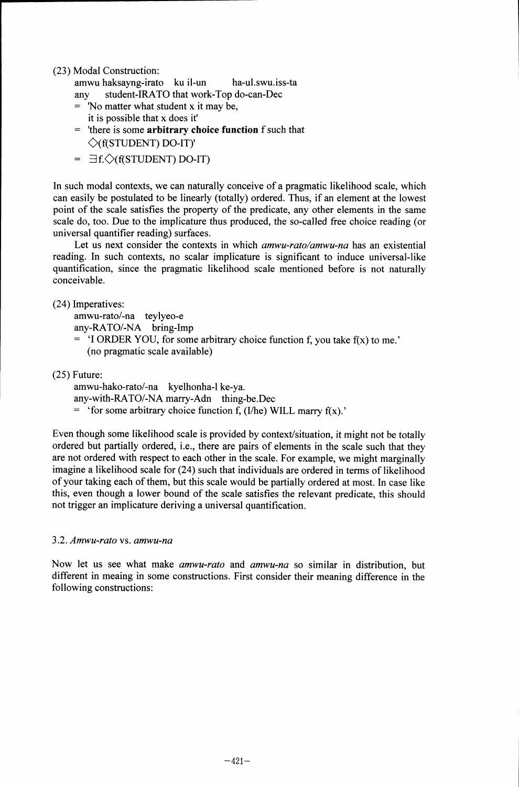(23) Modal Construction:

amwu haksayng-irato ku il-un ha-ul.swu.iss-ta any student-IRATO that work-Top do-can-Dec

- = No matter what student x it may be, it is possible that x does it'
- = 'there is some arbitrary choice function f such that  $\Diamond$ (f(STUDENT) DO-IT)'
- $= \exists f. \diamondsuit(f(TUDENT) DO-IT)$

In such modal contexts, we can naturally conceive of a pragmatic likelihood scale, which can easily be postulated to be linearly (totally) ordered. Thus, if an element at the lowest point of the scale satisfies the property of the predicate, any other elements in the same scale do, too. Due to the implicature thus produced, the so-called free choice reading (or universal quantifier reading) surfaces.

Let us next consider the contexts in which *amwu-rato/amwu-na* has an existential reading. In such contexts, no scalar implicature is significant to induce universal-like quantification, since the pragmatic likelihood scale mentioned before is not naturally conceivable.

(24) Imperatives:

amwu-rato/-na teylyeo-e

- any-RATO/-NA bring-Imp
- = 'I ORDER YOU, for some arbitrary choice function f, you take f(x) to me.' (no pragmatic scale available)

(25) Future:

amwu-hako-rato/-na kyelhonha-1 ke-ya.

any-with-RATO/-NA marry-Adn thing-be.Dec

 $=$  'for some arbitrary choice function f, (I/he) WILL marry f(x).'

Even though some likelihood scale is provided by context/situation, it might not be totally ordered but partially ordered, i.e., there are pairs of elements in the scale such that they are not ordered with respect to each other in the scale. For example, we might marginally imagine a likelihood scale for (24) such that individuals are ordered in terms of likelihood of your taking each of them, but this scale would be partially ordered at most. In case like this, even though a lower bound of the scale satisfies the relevant predicate, this should not trigger an implicature deriving a universal quantification.

## 3.2. *Amwu-rato* vs. *amwu-na*

Now let us see what make *amwu-rato* and *amwu-na* so similar in distribution, but different in meaing in some constructions. First consider their meaning difference in the following constructions: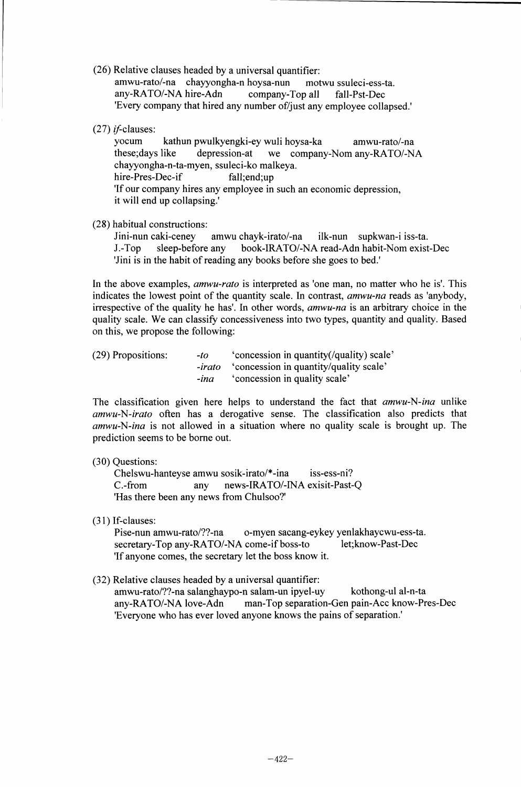(26) Relative clauses headed by a universal quantifier:

amwu-rato/-na chayyongha-n hoysa-nun motwu ssuleci-ess-ta. any-RATO/-NA hire-Adn company-Top all fall-Pst-Dec 'Every company that hired any number of/just any employee collapsed.'

 $(27)$  *if-clauses:* 

yocum kathun pwulkyengki-ey wuli hoysa-ka amwu-rato/-na<br>these;days like depression-at we company-Nom any-RATO/-N. depression-at we company-Nom any-RATO/-NA chayyongha-n-ta-myen, ssuleci-ko malkeya. hire-Pres-Dec-if fall;end;up 'If our company hires any employee in such an economic depression, it will end up collapsing.'

(28) habitual constructions:

Jini-nun caki-ceney amwu chayk-irato/-na ilk-nun supkwan-i iss-ta. J.-Top sleep-before any book-IRATO/-NA read-Adn habit-Nom exist-Dec 'Jini is in the habit of reading any books before she goes to bed.'

In the above examples, *amwu-rato* is interpreted as 'one man, no matter who he is'. This indicates the lowest point of the quantity scale. In contrast, *amwu-na* reads as 'anybody, irrespective of the quality he has'. In other words, *amwu-na* is an arbitrary choice in the quality scale. We can classify concessiveness into two types, quantity and quality. Based on this, we propose the following:

| (29) Propositions: | -to    | 'concession in quantity(/quality) scale'             |
|--------------------|--------|------------------------------------------------------|
|                    |        | <i>-irato</i> 'concession in quantity/quality scale' |
|                    | $-ina$ | 'concession in quality scale'                        |

The classification given here helps to understand the fact that *amwu-N-ina* unlike *amwu-N-irato* often has a derogative sense. The classification also predicts that *amwu-N-ina* is not allowed in a situation where no quality scale is brought up. The prediction seems to be borne out.

## (30) Questions:

Chelswu-hanteyse amwu sosik-irato/\*-ina iss-ess-ni? C.-from any news-IRATO/-INA exisit-Past-Q 'Has there been any news from Chulsoo?'

(31) If-clauses:<br>Pise-nun amwu-rato/??-na o-myen sacang-eykey yenlakhaycwu-ess-ta.<br>come-if boss-to let:know-Past-Dec secretary-Top any-RATO/-NA come-if boss-to 'If anyone comes, the secretary let the boss know it.

## (32) Relative clauses headed by a universal quantifier:

amwu-rato/??-na salanghaypo-n salam-un ipyel-uy kothong-ul al-n-ta any-RATO/-NA love-Adn man-Top separation-Gen pain-Acc know-Pres-Dec 'Everyone who has ever loved anyone knows the pains of separation.'